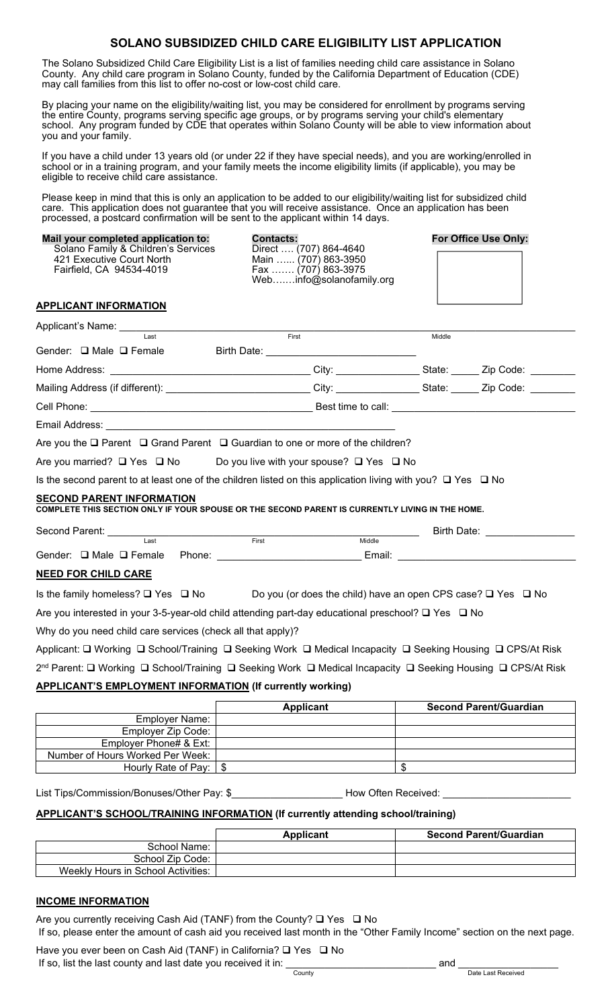# **SOLANO SUBSIDIZED CHILD CARE ELIGIBILITY LIST APPLICATION**

The Solano Subsidized Child Care Eligibility List is a list of families needing child care assistance in Solano County. Any child care program in Solano County, funded by the California Department of Education (CDE) may call families from this list to offer no-cost or low-cost child care.

By placing your name on the eligibility/waiting list, you may be considered for enrollment by programs serving the entire County, programs serving specific age groups, or by programs serving your child's elementary school. Any program funded by CDE that operates within Solano County will be able to view information about you and your family.

If you have a child under 13 years old (or under 22 if they have special needs), and you are working/enrolled in school or in a training program, and your family meets the income eligibility limits (if applicable), you may be eligible to receive child care assistance.

Please keep in mind that this is only an application to be added to our eligibility/waiting list for subsidized child care. This application does not guarantee that you will receive assistance. Once an application has been processed, a postcard confirmation will be sent to the applicant within 14 days.

| Mail your completed application to:<br>Solano Family & Children's Services<br>421 Executive Court North<br>Fairfield, CA 94534-4019 | <b>Contacts:</b><br>Direct  (707) 864-4640<br>Main  (707) 863-3950<br>Fax  (707) 863-3975<br>Webinfo@solanofamily.org |        | For Office Use Only:          |
|-------------------------------------------------------------------------------------------------------------------------------------|-----------------------------------------------------------------------------------------------------------------------|--------|-------------------------------|
| <b>APPLICANT INFORMATION</b>                                                                                                        |                                                                                                                       |        |                               |
| Applicant's Name: Last                                                                                                              |                                                                                                                       |        |                               |
| Gender: □ Male □ Female                                                                                                             | First                                                                                                                 | Middle |                               |
|                                                                                                                                     |                                                                                                                       |        |                               |
| Mailing Address (if different): ___________________________City: _______________State: ______ Zip Code: ________                    |                                                                                                                       |        |                               |
|                                                                                                                                     |                                                                                                                       |        |                               |
|                                                                                                                                     |                                                                                                                       |        |                               |
| Are you the Q Parent Q Grand Parent Q Guardian to one or more of the children?                                                      |                                                                                                                       |        |                               |
| Are you married? $\Box$ Yes $\Box$ No Do you live with your spouse? $\Box$ Yes $\Box$ No                                            |                                                                                                                       |        |                               |
| Is the second parent to at least one of the children listed on this application living with you? $\Box$ Yes $\Box$ No               |                                                                                                                       |        |                               |
| <b>SECOND PARENT INFORMATION</b><br>COMPLETE THIS SECTION ONLY IF YOUR SPOUSE OR THE SECOND PARENT IS CURRENTLY LIVING IN THE HOME. |                                                                                                                       |        |                               |
| Second Parent: Last Last                                                                                                            | First                                                                                                                 |        | Birth Date: <b>Example 20</b> |
|                                                                                                                                     | Middle                                                                                                                |        |                               |
|                                                                                                                                     |                                                                                                                       |        |                               |
| <b>NEED FOR CHILD CARE</b>                                                                                                          |                                                                                                                       |        |                               |
| Is the family homeless? $\Box$ Yes $\Box$ No Do you (or does the child) have an open CPS case? $\Box$ Yes $\Box$ No                 |                                                                                                                       |        |                               |
| Are you interested in your 3-5-year-old child attending part-day educational preschool? □ Yes □ No                                  |                                                                                                                       |        |                               |
| Why do you need child care services (check all that apply)?                                                                         |                                                                                                                       |        |                               |
| Applicant: □ Working □ School/Training □ Seeking Work □ Medical Incapacity □ Seeking Housing □ CPS/At Risk                          |                                                                                                                       |        |                               |
| 2 <sup>nd</sup> Parent: □ Working □ School/Training □ Seeking Work □ Medical Incapacity □ Seeking Housing □ CPS/At Risk             |                                                                                                                       |        |                               |
| <b>APPLICANT'S EMPLOYMENT INFORMATION (If currently working)</b>                                                                    |                                                                                                                       |        |                               |
|                                                                                                                                     | Annlicant                                                                                                             |        | Socond Daront/Cuardian        |

| <b>Applicant</b>       | <b>Second Parent/Guardian</b> |
|------------------------|-------------------------------|
|                        |                               |
|                        |                               |
|                        |                               |
|                        |                               |
|                        |                               |
| Employer Phone# & Ext: | Hourly Rate of Pay: 1 \$      |

List Tips/Commission/Bonuses/Other Pay: \$\_\_\_\_\_\_\_\_\_\_\_\_\_\_\_\_\_\_\_\_\_\_\_\_How Often Received:

## **APPLICANT'S SCHOOL/TRAINING INFORMATION (If currently attending school/training)**

|                                    | <b>Applicant</b> | <b>Second Parent/Guardian</b> |
|------------------------------------|------------------|-------------------------------|
| School Name:                       |                  |                               |
| School Zip Code:                   |                  |                               |
| Weekly Hours in School Activities: |                  |                               |

#### **INCOME INFORMATION**

Are you currently receiving Cash Aid (TANF) from the County?  $\square$  Yes  $\square$  No

If so, please enter the amount of cash aid you received last month in the "Other Family Income" section on the next page.

Have you ever been on Cash Aid (TANF) in California?  $\Box$  Yes  $\Box$  No Have you ever been on Gash and  $\frac{1}{2}$  and  $\frac{1}{2}$  in Generalism.